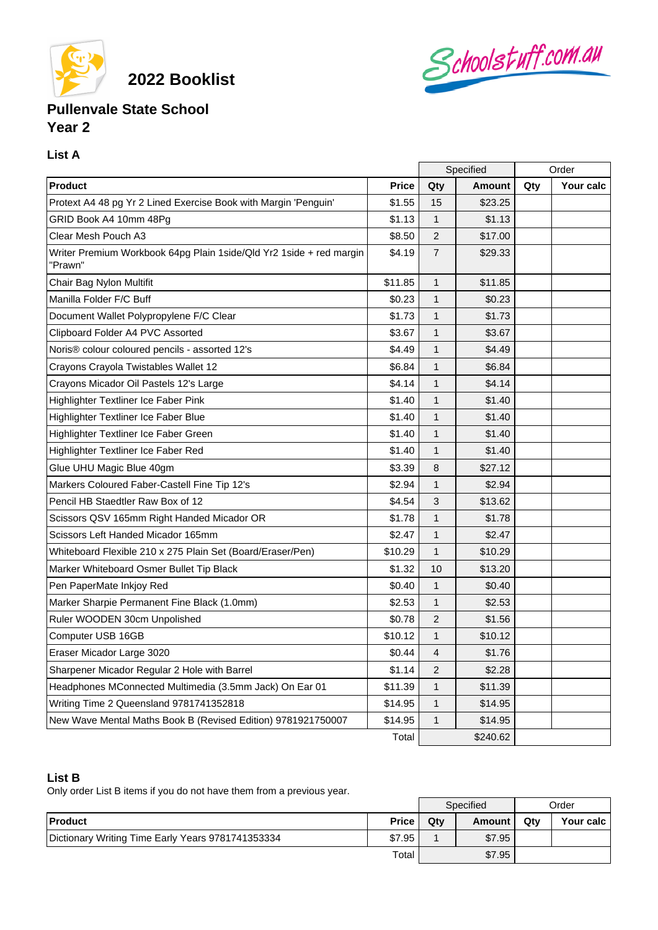

**2022 Booklist**

# Schoolstuff.com.au

## **Pullenvale State School Year 2**

### **List A**

|                                                                                |              | Specified      |               | Order |           |
|--------------------------------------------------------------------------------|--------------|----------------|---------------|-------|-----------|
| <b>Product</b>                                                                 | <b>Price</b> | Qty            | <b>Amount</b> | Qty   | Your calc |
| Protext A4 48 pg Yr 2 Lined Exercise Book with Margin 'Penguin'                | \$1.55       | 15             | \$23.25       |       |           |
| GRID Book A4 10mm 48Pg                                                         | \$1.13       | $\mathbf{1}$   | \$1.13        |       |           |
| Clear Mesh Pouch A3                                                            | \$8.50       | $\overline{2}$ | \$17.00       |       |           |
| Writer Premium Workbook 64pg Plain 1side/Qld Yr2 1side + red margin<br>'Prawn" | \$4.19       | $\overline{7}$ | \$29.33       |       |           |
| Chair Bag Nylon Multifit                                                       | \$11.85      | $\mathbf{1}$   | \$11.85       |       |           |
| Manilla Folder F/C Buff                                                        | \$0.23       | $\mathbf{1}$   | \$0.23        |       |           |
| Document Wallet Polypropylene F/C Clear                                        | \$1.73       | 1              | \$1.73        |       |           |
| Clipboard Folder A4 PVC Assorted                                               | \$3.67       | $\mathbf{1}$   | \$3.67        |       |           |
| Noris <sup>®</sup> colour coloured pencils - assorted 12's                     | \$4.49       | $\mathbf{1}$   | \$4.49        |       |           |
| Crayons Crayola Twistables Wallet 12                                           | \$6.84       | 1              | \$6.84        |       |           |
| Crayons Micador Oil Pastels 12's Large                                         | \$4.14       | 1              | \$4.14        |       |           |
| Highlighter Textliner Ice Faber Pink                                           | \$1.40       | $\mathbf{1}$   | \$1.40        |       |           |
| Highlighter Textliner Ice Faber Blue                                           | \$1.40       | 1              | \$1.40        |       |           |
| Highlighter Textliner Ice Faber Green                                          | \$1.40       | 1              | \$1.40        |       |           |
| Highlighter Textliner Ice Faber Red                                            | \$1.40       | $\mathbf{1}$   | \$1.40        |       |           |
| Glue UHU Magic Blue 40gm                                                       | \$3.39       | 8              | \$27.12       |       |           |
| Markers Coloured Faber-Castell Fine Tip 12's                                   | \$2.94       | $\mathbf{1}$   | \$2.94        |       |           |
| Pencil HB Staedtler Raw Box of 12                                              | \$4.54       | 3              | \$13.62       |       |           |
| Scissors QSV 165mm Right Handed Micador OR                                     | \$1.78       | $\mathbf{1}$   | \$1.78        |       |           |
| Scissors Left Handed Micador 165mm                                             | \$2.47       | $\mathbf{1}$   | \$2.47        |       |           |
| Whiteboard Flexible 210 x 275 Plain Set (Board/Eraser/Pen)                     | \$10.29      | $\mathbf{1}$   | \$10.29       |       |           |
| Marker Whiteboard Osmer Bullet Tip Black                                       | \$1.32       | 10             | \$13.20       |       |           |
| Pen PaperMate Inkjoy Red                                                       | \$0.40       | $\mathbf{1}$   | \$0.40        |       |           |
| Marker Sharpie Permanent Fine Black (1.0mm)                                    | \$2.53       | 1              | \$2.53        |       |           |
| Ruler WOODEN 30cm Unpolished                                                   | \$0.78       | $\overline{2}$ | \$1.56        |       |           |
| Computer USB 16GB                                                              | \$10.12      | $\mathbf{1}$   | \$10.12       |       |           |
| Eraser Micador Large 3020                                                      | \$0.44       | $\overline{4}$ | \$1.76        |       |           |
| Sharpener Micador Regular 2 Hole with Barrel                                   | \$1.14       | 2              | \$2.28        |       |           |
| Headphones MConnected Multimedia (3.5mm Jack) On Ear 01                        | \$11.39      | 1              | \$11.39       |       |           |
| Writing Time 2 Queensland 9781741352818                                        | \$14.95      | 1              | \$14.95       |       |           |
| New Wave Mental Maths Book B (Revised Edition) 9781921750007                   | \$14.95      | $\mathbf{1}$   | \$14.95       |       |           |
|                                                                                | Total        | \$240.62       |               |       |           |

#### **List B**

Only order List B items if you do not have them from a previous year.

|                                                   |              | Specified |        | Order |           |
|---------------------------------------------------|--------------|-----------|--------|-------|-----------|
| <b>Product</b>                                    | <b>Price</b> | Qtv       | Amount | Qtv   | Your calc |
| Dictionary Writing Time Early Years 9781741353334 | \$7.95       |           | \$7.95 |       |           |
|                                                   | Total        |           | \$7.95 |       |           |